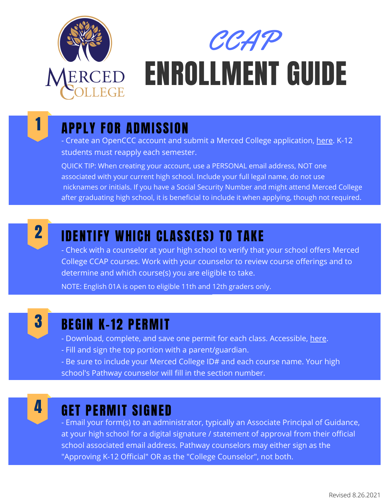

# ENROLLMENT GUIDE CCAP

## 1 APPLY FOR ADMISSION

- Create an OpenCCC account and submit a Merced College application, [here](https://www.opencccapply.net/gateway/apply?cccMisCode=531). K-12 students must reapply each semester.

QUICK TIP: When creating your account, use a PERSONAL email address, NOT one associated with your current high school. Include your full legal name, do not use nicknames or initials. If you have a Social Security Number and might attend Merced College after graduating high school, it is beneficial to include it when applying, though not required.



### IDENTIFY WHICH CLASS(ES) TO TAKE

- Check with a counselor at your high school to verify that your school offers Merced College CCAP courses. Work with your counselor to review course offerings and to determine and which course(s) you are eligible to take.

NOTE: English 01A is open to eligible 11th and 12th graders only.



#### BEGIN K-12 PERMIT

- Download, complete, and save one permit for each class. Accessible, [here.](https://www.mccd.edu/resources/admissions-records/forms.html)
- Fill and sign the top portion with a parent/guardian.
- Be sure to include your Merced College ID# and each course name. Your high school's Pathway counselor will fill in the section number.



#### GET PERMIT SIGNED

- Email your form(s) to an administrator, typically an Associate Principal of Guidance, at your high school for a digital signature / statement of approval from their official school associated email address. Pathway counselors may either sign as the "Approving K-12 Official" OR as the "College Counselor", not both.